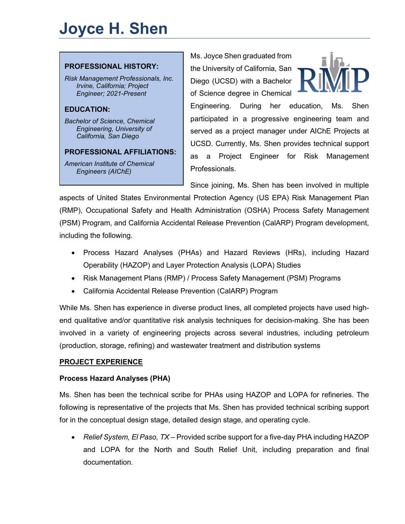# **Joyce H. Shen**

#### **PROFESSIONAL HISTORY:**

*Risk Management Professionals, Inc. Irvine, California; Project Engineer; 2021-Present*

# **EDUCATION:**

*Bachelor of Science, Chemical Engineering, University of California, San Diego*

#### **PROFESSIONAL AFFILIATIONS:**

*American Institute of Chemical Engineers (AIChE)*

Ms. Joyce Shen graduated from the University of California, San Diego (UCSD) with a Bachelor of Science degree in Chemical



Engineering. During her education, Ms. Shen participated in a progressive engineering team and served as a project manager under AIChE Projects at UCSD. Currently, Ms. Shen provides technical support as a Project Engineer for Risk Management **Professionals** 

Since joining, Ms. Shen has been involved in multiple

aspects of United States Environmental Protection Agency (US EPA) Risk Management Plan (RMP), Occupational Safety and Health Administration (OSHA) Process Safety Management (PSM) Program, and California Accidental Release Prevention (CalARP) Program development, including the following.

- Process Hazard Analyses (PHAs) and Hazard Reviews (HRs), including Hazard Operability (HAZOP) and Layer Protection Analysis (LOPA) Studies
- Risk Management Plans (RMP) / Process Safety Management (PSM) Programs
- California Accidental Release Prevention (CalARP) Program

While Ms. Shen has experience in diverse product lines, all completed projects have used highend qualitative and/or quantitative risk analysis techniques for decision-making. She has been involved in a variety of engineering projects across several industries, including petroleum (production, storage, refining) and wastewater treatment and distribution systems

#### **PROJECT EXPERIENCE**

## **Process Hazard Analyses (PHA)**

Ms. Shen has been the technical scribe for PHAs using HAZOP and LOPA for refineries. The following is representative of the projects that Ms. Shen has provided technical scribing support for in the conceptual design stage, detailed design stage, and operating cycle.

• *Relief System, El Paso, TX* – Provided scribe support for a five-day PHA including HAZOP and LOPA for the North and South Relief Unit, including preparation and final documentation.